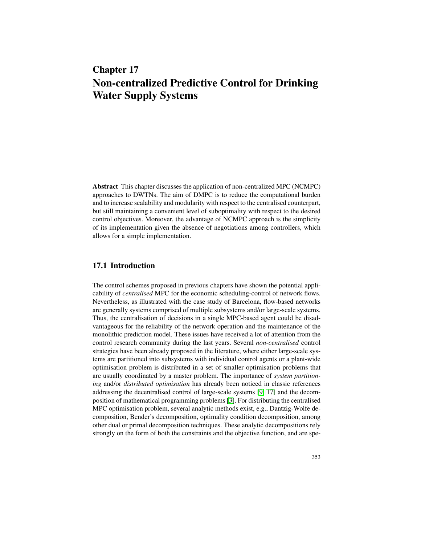# Chapter 17 Non-centralized Predictive Control for Drinking Water Supply Systems

Abstract This chapter discusses the application of non-centralized MPC (NCMPC) approaches to DWTNs. The aim of DMPC is to reduce the computational burden and to increase scalability and modularity with respect to the centralised counterpart, but still maintaining a convenient level of suboptimality with respect to the desired control objectives. Moreover, the advantage of NCMPC approach is the simplicity of its implementation given the absence of negotiations among controllers, which allows for a simple implementation.

## 17.1 Introduction

The control schemes proposed in previous chapters have shown the potential applicability of *centralised* MPC for the economic scheduling-control of network flows. Nevertheless, as illustrated with the case study of Barcelona, flow-based networks are generally systems comprised of multiple subsystems and/or large-scale systems. Thus, the centralisation of decisions in a single MPC-based agent could be disadvantageous for the reliability of the network operation and the maintenance of the monolithic prediction model. These issues have received a lot of attention from the control research community during the last years. Several *non-centralised* control strategies have been already proposed in the literature, where either large-scale systems are partitioned into subsystems with individual control agents or a plant-wide optimisation problem is distributed in a set of smaller optimisation problems that are usually coordinated by a master problem. The importance of *system partitioning* and/or *distributed optimisation* has already been noticed in classic references addressing the decentralised control of large-scale systems [9, 17] and the decomposition of mathematical programming problems [3]. For distributing the centralised MPC optimisation problem, several analytic methods exist, e.g., Dantzig-Wolfe decomposition, Bender's decomposition, optimality condition decomposition, among other dual or primal decomposition techniques. These analytic decompositions rely strongly on the form of both the constraints and the objective function, and are spe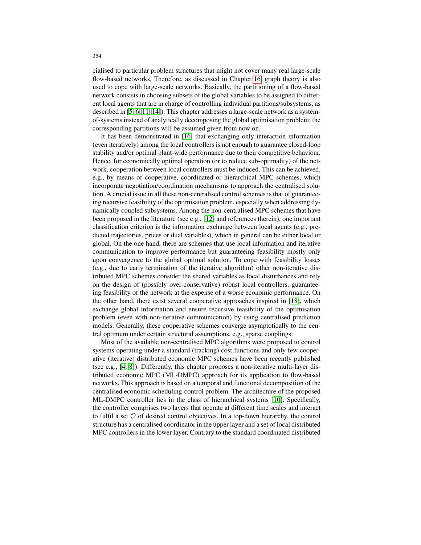cialised to particular problem structures that might not cover many real large-scale flow-based networks. Therefore, as discussed in Chapter 16, graph theory is also used to cope with large-scale networks. Basically, the partitioning of a flow-based network consists in choosing subsets of the global variables to be assigned to different local agents that are in charge of controlling individual partitions/subsystems, as described in [5, 6, 11, 14]). This chapter addresses a large-scale network as a systemof-systems instead of analytically decomposing the global optimisation problem; the corresponding partitions will be assumed given from now on.

It has been demonstrated in [16] that exchanging only interaction information (even iteratively) among the local controllers is not enough to guarantee closed-loop stability and/or optimal plant-wide performance due to their competitive behaviour. Hence, for economically optimal operation (or to reduce sub-optimality) of the network, cooperation between local controllers must be induced. This can be achieved, e.g., by means of cooperative, coordinated or hierarchical MPC schemes, which incorporate negotiation/coordination mechanisms to approach the centralised solution. A crucial issue in all these non-centralised control schemes is that of guaranteeing recursive feasibility of the optimisation problem, especially when addressing dynamically coupled subsystems. Among the non-centralised MPC schemes that have been proposed in the literature (see e.g., [12] and references therein), one important classification criterion is the information exchange between local agents (e.g., predicted trajectories, prices or dual variables), which in general can be either local or global. On the one hand, there are schemes that use local information and iterative communication to improve performance but guaranteeing feasibility mostly only upon convergence to the global optimal solution. To cope with feasibility losses (e.g., due to early termination of the iterative algorithm) other non-iterative distributed MPC schemes consider the shared variables as local disturbances and rely on the design of (possibly over-conservative) robust local controllers, guaranteeing feasibility of the network at the expense of a worse economic performance. On the other hand, there exist several cooperative approaches inspired in [18], which exchange global information and ensure recursive feasibility of the optimisation problem (even with non-iterative communication) by using centralised prediction models. Generally, these cooperative schemes converge asymptotically to the central optimum under certain structural assumptions, e.g., sparse couplings.

Most of the available non-centralised MPC algorithms were proposed to control systems operating under a standard (tracking) cost functions and only few cooperative (iterative) distributed economic MPC schemes have been recently published (see e.g., [4, 8]). Differently, this chapter proposes a non-iterative multi-layer distributed economic MPC (ML-DMPC) approach for its application to flow-based networks. This approach is based on a temporal and functional decomposition of the centralised economic scheduling-control problem. The architecture of the proposed ML-DMPC controller lies in the class of hierarchical systems [10]. Specifically, the controller comprises two layers that operate at different time scales and interact to fulfil a set  $O$  of desired control objectives. In a top-down hierarchy, the control structure has a centralised coordinator in the upper layer and a set of local distributed MPC controllers in the lower layer. Contrary to the standard coordinated distributed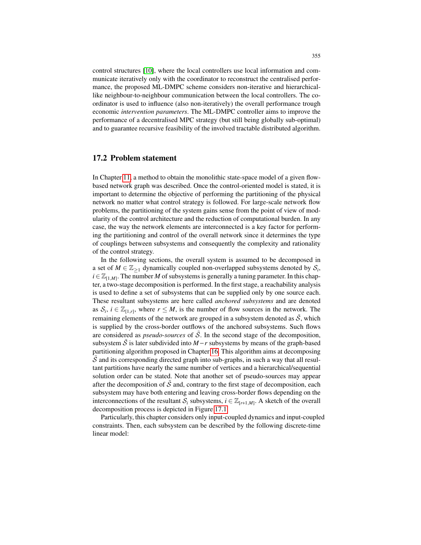control structures [10], where the local controllers use local information and communicate iteratively only with the coordinator to reconstruct the centralised performance, the proposed ML-DMPC scheme considers non-iterative and hierarchicallike neighbour-to-neighbour communication between the local controllers. The coordinator is used to influence (also non-iteratively) the overall performance trough economic *intervention parameters*. The ML-DMPC controller aims to improve the performance of a decentralised MPC strategy (but still being globally sub-optimal) and to guarantee recursive feasibility of the involved tractable distributed algorithm.

#### 17.2 Problem statement

In Chapter 11, a method to obtain the monolithic state-space model of a given flowbased network graph was described. Once the control-oriented model is stated, it is important to determine the objective of performing the partitioning of the physical network no matter what control strategy is followed. For large-scale network flow problems, the partitioning of the system gains sense from the point of view of modularity of the control architecture and the reduction of computational burden. In any case, the way the network elements are interconnected is a key factor for performing the partitioning and control of the overall network since it determines the type of couplings between subsystems and consequently the complexity and rationality of the control strategy.

In the following sections, the overall system is assumed to be decomposed in a set of  $M \in \mathbb{Z}_{\geq 1}$  dynamically coupled non-overlapped subsystems denoted by  $S_i$ ,  $i \in \mathbb{Z}_{[1,M]}$ . The number *M* of subsystems is generally a tuning parameter. In this chapter, a two-stage decomposition is performed. In the first stage, a reachability analysis is used to define a set of subsystems that can be supplied only by one source each. These resultant subsystems are here called *anchored subsystems* and are denoted as  $S_i$ ,  $i \in \mathbb{Z}_{[1,r]}$ , where  $r \leq M$ , is the number of flow sources in the network. The remaining elements of the network are grouped in a subsystem denoted as  $\tilde{S}$ , which is supplied by the cross-border outflows of the anchored subsystems. Such flows are considered as *pseudo-sources* of  $\hat{S}$ . In the second stage of the decomposition, subsystem S is later subdivided into  $M - r$  subsystems by means of the graph-based partitioning algorithm proposed in Chapter 16. This algorithm aims at decomposing  $\hat{S}$  and its corresponding directed graph into sub-graphs, in such a way that all resultant partitions have nearly the same number of vertices and a hierarchical/sequential solution order can be stated. Note that another set of pseudo-sources may appear after the decomposition of  $\tilde{\mathcal{S}}$  and, contrary to the first stage of decomposition, each subsystem may have both entering and leaving cross-border flows depending on the interconnections of the resultant  $S_i$  subsystems,  $i \in \mathbb{Z}_{[r+1,M]}$ . A sketch of the overall decomposition process is depicted in Figure 17.1.

Particularly, this chapter considers only input-coupled dynamics and input-coupled constraints. Then, each subsystem can be described by the following discrete-time linear model: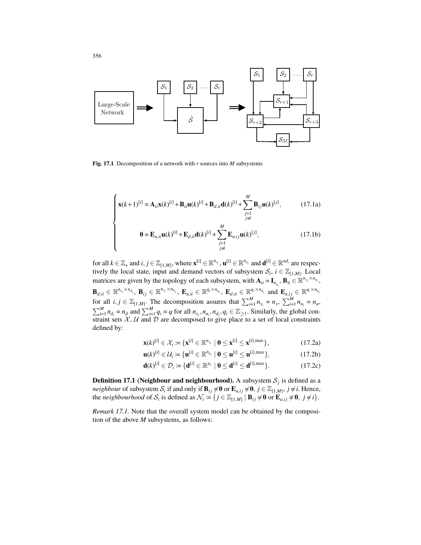

Fig. 17.1 Decomposition of a network with *r* sources into *M* subsystems

$$
\begin{cases} \mathbf{x}(k+1)^{[i]} = \mathbf{A}_{ii}\mathbf{x}(k)^{[i]} + \mathbf{B}_{ii}\mathbf{u}(k)^{[i]} + \mathbf{B}_{d,ii}\mathbf{d}(k)^{[i]} + \sum_{\substack{j=1 \ j \neq i}}^M \mathbf{B}_{ij}\mathbf{u}(k)^{[j]}, \end{cases}
$$
(17.1a)

$$
\mathbf{0} = \mathbf{E}_{u,ii}\mathbf{u}(k)^{[i]} + \mathbf{E}_{d,ii}\mathbf{d}(k)^{[i]} + \sum_{\substack{j=1 \ j \neq i}}^M \mathbf{E}_{u,ij}\mathbf{u}(k)^{[j]},
$$
(17.1b)

for all  $k \in \mathbb{Z}_+$  and  $i, j \in \mathbb{Z}_{[1,M]}$ , where  $\mathbf{x}^{[i]} \in \mathbb{R}^{n_{x_i}}, \mathbf{u}^{[i]} \in \mathbb{R}^{n_{u_i}}$  and  $\mathbf{d}^{[i]} \in \mathbb{R}^{nd_i}$  are respectively the local state, input and demand vectors of subsystem  $S_i$ ,  $i \in \mathbb{Z}_{[1,M]}$ . Local matrices are given by the topology of each subsystem, with  $\mathbf{A}_{ii} = \mathbf{I}_{n_{x_i}}$ ,  $\mathbf{B}_{ii} \in \mathbb{R}^{n_{x_i} \times n_{u_i}}$ ,  $\mathbf{B}_{d,ii} \in \mathbb{R}^{n_{x_i}\times n_{d_i}},\ \mathbf{B}_{ij} \in \mathbb{R}^{n_{x_i}\times n_{u_j}},\ \mathbf{E}_{u,ii} \in \mathbb{R}^{q_i\times n_{u_i}},\ \mathbf{E}_{d,ii} \in \mathbb{R}^{q_i\times n_{d_i}}\ \text{and}\ \mathbf{E}_{u,ij} \in \mathbb{R}^{q_i\times n_{u_i}}$ for all  $i, j \in \mathbb{Z}_{[1,M]}$ . The decomposition assures that  $\sum_{i=1}^{M} n_{x_i} = n_x$ ,  $\sum_{i=1}^{M} n_{u_i} = n_u$ ,  $\sum_{i=1}^{M} n_{d_i} = n_d$  and  $\sum_{i=1}^{M} q_i = q$  for all  $n_{x_i}, n_{u_i}, n_{d_i}, q_i \in \mathbb{Z}_{\geq 1}$ . Similarly, the global constraint sets  $X, U$  and  $D$  are decomposed to give place to a set of local constraints defined by:

$$
\mathbf{x}(k)^{[i]} \in \mathcal{X}_i \coloneqq \{\mathbf{x}^{[i]} \in \mathbb{R}^{n_{x_i}} \mid \mathbf{0} \leq \mathbf{x}^{[i]} \leq \mathbf{x}^{[i], \max}\},\tag{17.2a}
$$

$$
\mathbf{u}(k)^{[i]} \in \mathcal{U}_i \coloneqq \{ \mathbf{u}^{[i]} \in \mathbb{R}^{n_{u_i}} \mid \mathbf{0} \leq \mathbf{u}^{[i]} \leq \mathbf{u}^{[i], \max} \},\tag{17.2b}
$$

$$
\mathbf{d}(k)^{[i]} \in \mathcal{D}_i \coloneqq \{ \mathbf{d}^{[i]} \in \mathbb{R}^{p_i} \mid \mathbf{0} \leq \mathbf{d}^{[i]} \leq \mathbf{d}^{[i], \max} \}.
$$
 (17.2c)

**Definition 17.1 (Neighbour and neighbourhood).** A subsystem  $S_j$  is defined as a *neighbour* of subsystem  $S_i$  if and only if  $\mathbf{B}_{ij} \neq \mathbf{0}$  or  $\mathbf{E}_{u,ij} \neq \mathbf{0}$ ,  $j \in \mathbb{Z}_{[1,M]}$ ,  $j \neq i$ . Hence, the *neighbourhood* of  $S_i$  is defined as  $\mathcal{N}_i \coloneqq \{j \in \mathbb{Z}_{[1,M]} \mid \mathbf{B}_{ij} \neq \mathbf{0} \text{ or } \mathbf{E}_{u,ij} \neq \mathbf{0}, j \neq i\}.$ 

*Remark 17.1.* Note that the overall system model can be obtained by the composition of the above *M* subsystems, as follows:

 $\overline{\mathcal{L}}$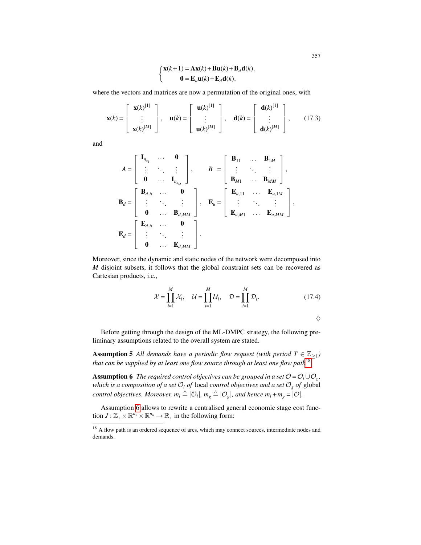$$
\begin{cases}\n\mathbf{x}(k+1) = \mathbf{A}\mathbf{x}(k) + \mathbf{B}\mathbf{u}(k) + \mathbf{B}_d\mathbf{d}(k), \\
\mathbf{0} = \mathbf{E}_u\mathbf{u}(k) + \mathbf{E}_d\mathbf{d}(k),\n\end{cases}
$$

where the vectors and matrices are now a permutation of the original ones, with

$$
\mathbf{x}(k) = \begin{bmatrix} \mathbf{x}(k)^{[1]} \\ \vdots \\ \mathbf{x}(k)^{[M]} \end{bmatrix}, \quad \mathbf{u}(k) = \begin{bmatrix} \mathbf{u}(k)^{[1]} \\ \vdots \\ \mathbf{u}(k)^{[M]} \end{bmatrix}, \quad \mathbf{d}(k) = \begin{bmatrix} \mathbf{d}(k)^{[1]} \\ \vdots \\ \mathbf{d}(k)^{[M]} \end{bmatrix}, \quad (17.3)
$$

and

$$
A = \begin{bmatrix} \mathbf{I}_{n_{x_1}} & \cdots & \mathbf{0} \\ \vdots & \ddots & \vdots \\ \mathbf{0} & \cdots & \mathbf{I}_{n_{x_M}} \end{bmatrix}, \qquad B = \begin{bmatrix} \mathbf{B}_{11} & \cdots & \mathbf{B}_{1M} \\ \vdots & \ddots & \vdots \\ \mathbf{B}_{M1} & \cdots & \mathbf{B}_{MM} \end{bmatrix},
$$
\n
$$
\mathbf{B}_d = \begin{bmatrix} \mathbf{B}_{d,ii} & \cdots & \mathbf{0} \\ \vdots & \ddots & \vdots \\ \mathbf{0} & \cdots & \mathbf{B}_{d,MM} \end{bmatrix}, \qquad \mathbf{E}_u = \begin{bmatrix} \mathbf{E}_{u,11} & \cdots & \mathbf{E}_{u,1M} \\ \vdots & \ddots & \vdots \\ \mathbf{E}_{u,M1} & \cdots & \mathbf{E}_{u,MM} \end{bmatrix},
$$
\n
$$
\mathbf{E}_d = \begin{bmatrix} \mathbf{E}_{d,ii} & \cdots & \mathbf{0} \\ \vdots & \ddots & \vdots \\ \mathbf{0} & \cdots & \mathbf{E}_{d,MM} \end{bmatrix}.
$$

Moreover, since the dynamic and static nodes of the network were decomposed into *M* disjoint subsets, it follows that the global constraint sets can be recovered as Cartesian products, i.e.,

$$
\mathcal{X} = \prod_{i=1}^{M} \mathcal{X}_i, \quad \mathcal{U} = \prod_{i=1}^{M} \mathcal{U}_i, \quad \mathcal{D} = \prod_{i=1}^{M} \mathcal{D}_i.
$$
 (17.4)

 $\Diamond$ 

Before getting through the design of the ML-DMPC strategy, the following preliminary assumptions related to the overall system are stated.

**Assumption 5** All demands have a periodic flow request (with period  $T \in \mathbb{Z}_{\geq 1}$ ) *that can be supplied by at least one flow source through at least one flow path*18 *.*

**Assumption 6** *The required control objectives can be grouped in a set*  $\mathcal{O} = \mathcal{O}_l \cup \mathcal{O}_g$ , *which is a composition of a set*  $O_l$  *of* local *control objectives and a set*  $O_g$  *of* global *control objectives. Moreover,*  $m_l \triangleq |O_l|$ ,  $m_g \triangleq |O_g|$ , and hence  $m_l + m_g = |O|$ .

Assumption 6 allows to rewrite a centralised general economic stage cost function  $J: \mathbb{Z}_+ \times \mathbb{R}^{n_x} \times \mathbb{R}^{n_u} \to \mathbb{R}_+$  in the following form:

<sup>&</sup>lt;sup>18</sup> A flow path is an ordered sequence of arcs, which may connect sources, intermediate nodes and demands.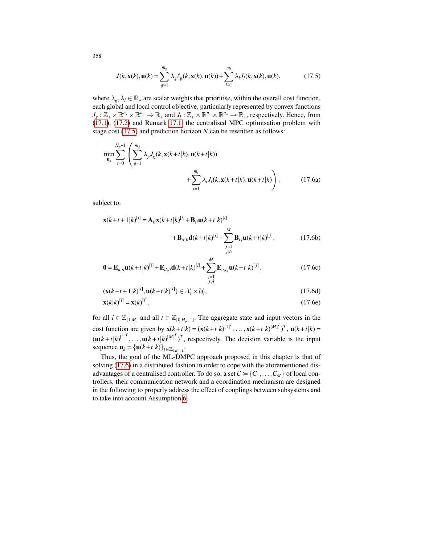$$
J(k, \mathbf{x}(k), \mathbf{u}(k)) = \sum_{g=1}^{m_g} \lambda_g \ell_g(k, \mathbf{x}(k), \mathbf{u}(k)) + \sum_{l=1}^{m_l} \lambda_l J_l(k, \mathbf{x}(k), \mathbf{u}(k),
$$
(17.5)

where  $\lambda_g$ ,  $\lambda_l \in \mathbb{R}_+$  are scalar weights that prioritise, within the overall cost function, each global and local control objective, particularly represented by convex functions  $J_g: \mathbb{Z}_+ \times \mathbb{R}^{n_x} \times \mathbb{R}^{n_u} \to \mathbb{R}_+$  and  $J_l: \mathbb{Z}_+ \times \mathbb{R}^{n_x} \times \mathbb{R}^{n_u} \to \mathbb{R}_+$ , respectively. Hence, from  $(17.1)$ ,  $(17.2)$  and Remark 17.1, the centralised MPC optimisation problem with stage cost (17.5) and prediction horizon *N* can be rewritten as follows:

$$
\min_{\mathbf{u}_k} \sum_{t=0}^{H_p-1} \left( \sum_{g=1}^{m_g} \lambda_g J_g(k, \mathbf{x}(k+t|k), \mathbf{u}(k+t|k)) + \sum_{l=1}^{m_l} \lambda_l J_l(k, \mathbf{x}(k+t|k), \mathbf{u}(k+t|k) \right), \tag{17.6a}
$$

subject to:

$$
\mathbf{x}(k+t+1|k)^{[i]} = \mathbf{A}_{ii}\mathbf{x}(k+t|k)^{[i]} + \mathbf{B}_{ii}\mathbf{u}(k+t|k)^{[i]} + \sum_{\substack{M\\j=1}}^{M} \mathbf{B}_{ij}\mathbf{u}(k+t|k)^{[j]},
$$
(17.6b)

$$
\mathbf{0} = \mathbf{E}_{u,ii}\mathbf{u}(k+t|k)^{[i]} + \mathbf{E}_{d,ii}\mathbf{d}(k+t|k)^{[i]} + \sum_{\substack{j=1 \ j \neq i}}^{M} \mathbf{E}_{u,ij}\mathbf{u}(k+t|k)^{[j]},
$$
(17.6c)

$$
(\mathbf{x}(k+t+1|k)^{[i]}, \mathbf{u}(k+t|k)^{[i]}) \in \mathcal{X}_i \times \mathcal{U}_i,
$$
\n(17.6d)

$$
\mathbf{x}(k|k)^{[i]} = \mathbf{x}(k)^{[i]},\tag{17.6e}
$$

for all  $i \in \mathbb{Z}_{[1,M]}$  and all  $t \in \mathbb{Z}_{[0,H_n-1]}$ . The aggregate state and input vectors in the cost function are given by  $\mathbf{x}(k+t|k) = (\mathbf{x}(k+t|k)^{[1]^T}, \dots, \mathbf{x}(k+t|k)^{[M]^T})^T$ ,  $\mathbf{u}(k+t|k) =$  $(\mathbf{u}(k+t|k)^{[1]^T}, \dots, \mathbf{u}(k+t|k)^{[M]^T})^T$ , respectively. The decision variable is the input sequence  $\mathbf{u}_k = {\mathbf{u}(k+t|k)}_{t \in \mathbb{Z}_{0,H_{p^{-1}}}}$ .

Thus, the goal of the ML-DMPC approach proposed in this chapter is that of solving (17.6) in a distributed fashion in order to cope with the aforementioned disadvantages of a centralised controller. To do so, a set  $C \coloneqq \{C_1, \ldots, C_M\}$  of local controllers, their communication network and a coordination mechanism are designed in the following to properly address the effect of couplings between subsystems and to take into account Assumption 6.

358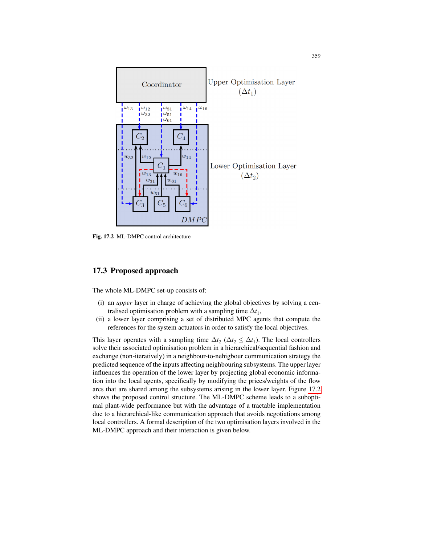

Fig. 17.2 ML-DMPC control architecture

## 17.3 Proposed approach

The whole ML-DMPC set-up consists of:

- (i) an *upper* layer in charge of achieving the global objectives by solving a centralised optimisation problem with a sampling time  $\Delta t_1$ ,
- (ii) a lower layer comprising a set of distributed MPC agents that compute the references for the system actuators in order to satisfy the local objectives.

This layer operates with a sampling time  $\Delta t_2$  ( $\Delta t_2 \leq \Delta t_1$ ). The local controllers solve their associated optimisation problem in a hierarchical/sequential fashion and exchange (non-iteratively) in a neighbour-to-nehigbour communication strategy the predicted sequence of the inputs affecting neighbouring subsystems. The upper layer influences the operation of the lower layer by projecting global economic information into the local agents, specifically by modifying the prices/weights of the flow arcs that are shared among the subsystems arising in the lower layer. Figure 17.2 shows the proposed control structure. The ML-DMPC scheme leads to a suboptimal plant-wide performance but with the advantage of a tractable implementation due to a hierarchical-like communication approach that avoids negotiations among local controllers. A formal description of the two optimisation layers involved in the ML-DMPC approach and their interaction is given below.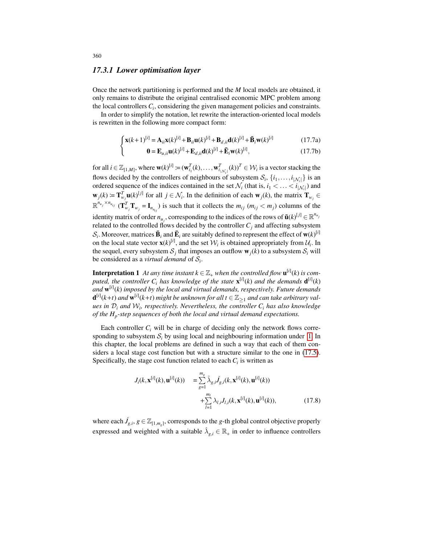#### *17.3.1 Lower optimisation layer*

Once the network partitioning is performed and the *M* local models are obtained, it only remains to distribute the original centralised economic MPC problem among the local controllers *C<sup>i</sup>* , considering the given management policies and constraints.

In order to simplify the notation, let rewrite the interaction-oriented local models is rewritten in the following more compact form:

$$
\begin{cases} \mathbf{x}(k+1)^{[i]} = \mathbf{A}_{ii}\mathbf{x}(k)^{[i]} + \mathbf{B}_{ii}\mathbf{u}(k)^{[i]} + \mathbf{B}_{d,ii}\mathbf{d}(k)^{[i]} + \mathbf{B}_{i}\mathbf{w}(k)^{[i]} \\ \mathbf{0} = \mathbf{E}_{u,ii}\mathbf{u}(k)^{[i]} + \mathbf{E}_{d,ii}\mathbf{d}(k)^{[i]} + \mathbf{E}_{i}\mathbf{w}(k)^{[i]}, \end{cases}
$$
(17.7a)

$$
\mathbf{0} = \mathbf{E}_{u,i} \mathbf{u}(k)^{[i]} + \mathbf{E}_{d,i} \mathbf{d}(k)^{[i]} + \mathbf{E}_i \mathbf{w}(k)^{[i]},
$$
\n(17.7b)

for all  $i \in \mathbb{Z}_{[1,M]}$ , where  $\mathbf{w}(k)^{[i]} \coloneqq (\mathbf{w}_{i_1}^T(k), \dots, \mathbf{w}_{i_{|N_i|}}^T(k))^T \in \mathcal{W}_i$  is a vector stacking the flows decided by the controllers of neighbours of subsystem  $S_i$ ,  $\{i_1, \ldots, i_{|\mathcal{N}_i|}\}$  is an ordered sequence of the indices contained in the set  $\mathcal{N}_i$  (that is,  $i_1 < \ldots < i_{|\mathcal{N}_i|}$ ) and  $\mathbf{w}_j(k) \coloneqq \mathbf{T}_{w_j}^T \mathbf{u}(k)^{[j]}$  for all  $j \in \mathcal{N}_i$ . In the definition of each  $\mathbf{w}_j(k)$ , the matrix  $\mathbf{T}_{w_j} \in$  $\mathbb{R}^{n_{u_j} \times n_{u_{ij}}}$   $(\mathbf{T}_{w_j}^T \mathbf{T}_{w_j} = \mathbf{I}_{n_{u_{ij}}})$  is such that it collects the  $m_{ij}$   $(m_{ij} < m_j)$  columns of the identity matrix of order  $n_{u_j}$ , corresponding to the indices of the rows of  $\tilde{\mathbf{u}}(k)^{[j]} \in \mathbb{R}^{n_{u_j}}$ related to the controlled flows decided by the controller  $C_j$  and affecting subsystem  $S_i$ . Moreover, matrices  $\bar{\mathbf{B}}_i$  and  $\bar{\mathbf{E}}_i$  are suitably defined to represent the effect of  $\mathbf{w}(k)^{[i]}$ on the local state vector  $\mathbf{x}(k)^{[i]}$ , and the set  $\mathcal{W}_i$  is obtained appropriately from  $\mathcal{U}_i$ . In the sequel, every subsystem  $S_j$  that imposes an outflow  $w_j(k)$  to a subsystem  $S_i$  will be considered as a *virtual demand* of  $S_i$ .

**Interpretation 1** *At any time instant*  $k \in \mathbb{Z}_+$  *when the controlled flow*  $\mathbf{u}^{[i]}(k)$  *is com*puted, the controller  $C_i$  has knowledge of the state  $\mathbf{x}^{[i]}(k)$  and the demands  $\mathbf{d}^{[i]}(k)$ *and* w [*i*] (*k*) *imposed by the local and virtual demands, respectively. Future demands*  $\mathbf{d}^{[i]}(k+t)$  and  $\mathbf{w}^{[i]}(k+t)$  might be unknown for all  $t \in \mathbb{Z}_{\geq 1}$  and can take arbitrary val*ues in* D*<sup>i</sup> and* W*<sup>i</sup> , respectively. Nevertheless, the controller C<sup>i</sup> has also knowledge of the H<sup>p</sup> -step sequences of both the local and virtual demand expectations.*

Each controller  $C_i$  will be in charge of deciding only the network flows corresponding to subsystem  $S_i$  by using local and neighbouring information under 1. In this chapter, the local problems are defined in such a way that each of them considers a local stage cost function but with a structure similar to the one in (17.5). Specifically, the stage cost function related to each  $C_i$  is written as

$$
J_i(k, \mathbf{x}^{[i]}(k), \mathbf{u}^{[i]}(k)) = \sum_{g=1}^{m_g} \hat{\lambda}_{g,i} \hat{J}_{g,i}(k, \mathbf{x}^{[i]}(k), \mathbf{u}^{[i]}(k)) + \sum_{l=1}^{m_l} \lambda_{l,i} J_{l,i}(k, \mathbf{x}^{[i]}(k), \mathbf{u}^{[i]}(k)),
$$
(17.8)

where each  $\hat{J}_{g,i}$ ,  $g \in \mathbb{Z}_{[1,m_g]}$ , corresponds to the *g*-th global control objective properly expressed and weighted with a suitable  $\hat{\lambda}_{g,i} \in \mathbb{R}_+$  in order to influence controllers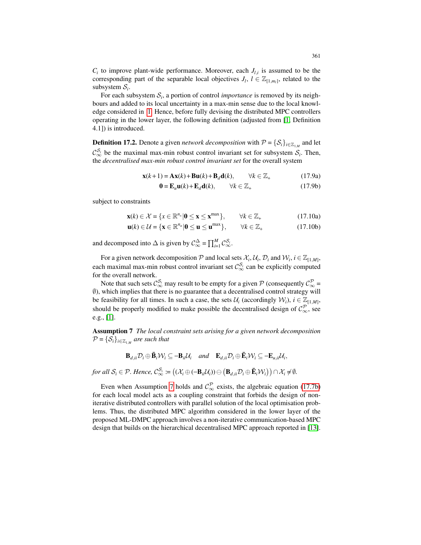$C_i$  to improve plant-wide performance. Moreover, each  $J_{l,i}$  is assumed to be the corresponding part of the separable local objectives  $J_l$ ,  $l \in \mathbb{Z}_{[1,m_l]}$ , related to the subsystem  $S_i$ .

For each subsystem  $S_i$ , a portion of control *importance* is removed by its neighbours and added to its local uncertainty in a max-min sense due to the local knowledge considered in 1. Hence, before fully devising the distributed MPC controllers operating in the lower layer, the following definition (adjusted from [1, Definition 4.1]) is introduced.

**Definition 17.2.** Denote a given *network decomposition* with  $P = \{S_i\}_{i \in \mathbb{Z}_{1,M}}$  and let  $\mathcal{C}_{\infty}^{S_i}$  be the maximal max-min robust control invariant set for subsystem  $S_i$ . Then, the *decentralised max-min robust control invariant set* for the overall system

$$
\mathbf{x}(k+1) = \mathbf{A}\mathbf{x}(k) + \mathbf{B}\mathbf{u}(k) + \mathbf{B}_d\mathbf{d}(k), \qquad \forall k \in \mathbb{Z}_+ \tag{17.9a}
$$

$$
\mathbf{0} = \mathbf{E}_u \mathbf{u}(k) + \mathbf{E}_d \mathbf{d}(k), \qquad \forall k \in \mathbb{Z}_+ \tag{17.9b}
$$

subject to constraints

$$
\mathbf{x}(k) \in \mathcal{X} = \{x \in \mathbb{R}^{n_x} | \mathbf{0} \le \mathbf{x} \le \mathbf{x}^{\max} \}, \qquad \forall k \in \mathbb{Z}_+ \tag{17.10a}
$$

$$
\mathbf{u}(k) \in \mathcal{U} = \{ \mathbf{x} \in \mathbb{R}^{n_u} | \mathbf{0} \le \mathbf{u} \le \mathbf{u}^{\max} \}, \qquad \forall k \in \mathbb{Z}_+ \tag{17.10b}
$$

and decomposed into  $\triangle$  is given by  $C^{\triangle}_{\infty} = \prod_{i=1}^{M} C^{\mathcal{S}_i}_{\infty}$ .

For a given network decomposition  $P$  and local sets  $\mathcal{X}_i$ ,  $\mathcal{U}_i$ ,  $\mathcal{D}_i$  and  $\mathcal{W}_i$ ,  $i \in \mathbb{Z}_{[1,M]}$ , each maximal max-min robust control invariant set  $\mathcal{C}_{\infty}^{S_i}$  can be explicitly computed for the overall network.

Note that such sets  $\mathcal{C}_{\infty}^{S_i}$  may result to be empty for a given  $P$  (consequently  $\mathcal{C}_{\infty}^P$  = ∅), which implies that there is no guarantee that a decentralised control strategy will be feasibility for all times. In such a case, the sets  $\mathcal{U}_i$  (accordingly  $\mathcal{W}_i$ ),  $i \in \mathbb{Z}_{[1,M]}$ , should be properly modified to make possible the decentralised design of  $\mathcal{C}_{\infty}^P$ , see e.g., [1].

Assumption 7 *The local constraint sets arising for a given network decomposition*  $\mathcal{P} = \{\mathcal{S}_i\}_{i \in \mathbb{Z}_{1,M}}$  are such that

$$
\mathbf{B}_{d,ii}\mathcal{D}_i\oplus\bar{\mathbf{B}}_i\mathcal{W}_i\subseteq-\mathbf{B}_{ii}\mathcal{U}_i\quad and\quad \mathbf{E}_{d,ii}\mathcal{D}_i\oplus\bar{\mathbf{E}}_i\mathcal{W}_i\subseteq-\mathbf{E}_{u,ii}\mathcal{U}_i,
$$

 $for \ all \ \mathcal{S}_i \in \mathcal{P}.$  *Hence,*  $\mathcal{C}_{\infty}^{\mathcal{S}_i} \coloneqq ((\mathcal{X}_i \oplus (-\mathbf{B}_{ii}\mathcal{U}_i)) \ominus (\mathbf{B}_{d,ii}\mathcal{D}_i \oplus \mathbf{\bar{E}}_i\mathcal{W}_i)) \cap \mathcal{X}_i \neq \emptyset.$ 

Even when Assumption 7 holds and  $\mathcal{C}_{\infty}^{\rho}$  exists, the algebraic equation (17.7b) for each local model acts as a coupling constraint that forbids the design of noniterative distributed controllers with parallel solution of the local optimisation problems. Thus, the distributed MPC algorithm considered in the lower layer of the proposed ML-DMPC approach involves a non-iterative communication-based MPC design that builds on the hierarchical decentralised MPC approach reported in [13].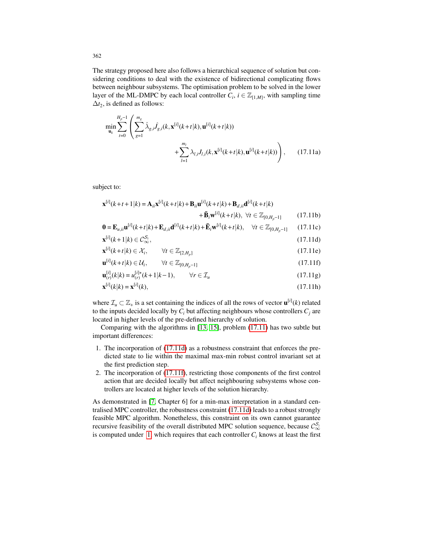The strategy proposed here also follows a hierarchical sequence of solution but considering conditions to deal with the existence of bidirectional complicating flows between neighbour subsystems. The optimisation problem to be solved in the lower layer of the ML-DMPC by each local controller  $C_i$ ,  $i \in \mathbb{Z}_{[1,M]}$ , with sampling time  $\Delta t_2$ , is defined as follows:

$$
\min_{\mathbf{u}_{k}} \sum_{t=0}^{H_{p}-1} \left( \sum_{g=1}^{m_{g}} \hat{\lambda}_{g,i} \hat{J}_{g,i}(k, \mathbf{x}^{[i]}(k+t|k), \mathbf{u}^{[i]}(k+t|k)) + \sum_{l=1}^{m_{l}} \lambda_{l,i} J_{l,i}(k, \mathbf{x}^{[i]}(k+t|k), \mathbf{u}^{[i]}(k+t|k)) \right), \quad (17.11a)
$$

subject to:

$$
\mathbf{x}^{[i]}(k+t+1|k) = \mathbf{A}_{ii}\mathbf{x}^{[i]}(k+t|k) + \mathbf{B}_{ii}\mathbf{u}^{[i]}(k+t|k) + \mathbf{B}_{d,ii}\mathbf{d}^{[i]}(k+t|k) + \mathbf{B}_{i}\mathbf{w}^{[i]}(k+t|k), \forall t \in \mathbb{Z}_{[0,H_p-1]} \tag{17.11b}
$$
\n
$$
\mathbf{0} = \mathbf{F} - \mathbf{v}^{[i]}(k+t|k) + \mathbf{F} - \mathbf{d}^{[i]}(k+t|k) + \mathbf{F} - \mathbf{w}^{[i]}(k+t|k) \tag{17.11c}
$$

$$
\mathbf{0} = \mathbf{E}_{u,i\mathbf{u}} \mathbf{u}^{[i]}(k+t|k) + \mathbf{E}_{d,i\mathbf{u}} \mathbf{d}^{[i]}(k+t|k) + \mathbf{E}_i \mathbf{w}^{[i]}(k+t|k), \quad \forall t \in \mathbb{Z}_{[0,H_p-1]} \tag{17.11c}
$$

$$
\mathbf{x}^{[i]}(k+1|k) \in \mathcal{C}_{\infty}^{S_i},\tag{17.11d}
$$

$$
\mathbf{x}^{[i]}(k+t|k) \in \mathcal{X}_i, \qquad \forall t \in \mathbb{Z}_{[2,H_p]}
$$
\n(17.11e)

$$
\mathbf{u}^{[t]}(k+t|k) \in \mathcal{U}_i, \qquad \forall t \in \mathbb{Z}_{[0,H_p-1]} \tag{17.11f}
$$

$$
\mathbf{u}_{(r)}^{[i]}(k|k) = u_{(r)}^{[i]*}(k+1|k-1), \qquad \forall r \in \mathcal{I}_u
$$
\n(17.11g)\n  
\n
$$
\mathbf{u}_{(r)}^{[i]}(k|k) = u_{(r)}^{[i]}(k+1|k-1), \qquad \forall r \in \mathcal{I}_u
$$
\n(17.11g)

$$
\mathbf{x}^{[1]}(k|k) = \mathbf{x}^{[1]}(k),\tag{17.11h}
$$

where  $\mathcal{I}_u \subset \mathbb{Z}_+$  is a set containing the indices of all the rows of vector  $\mathbf{u}^{[i]}(k)$  related to the inputs decided locally by  $C_i$  but affecting neighbours whose controllers  $C_i$  are located in higher levels of the pre-defined hierarchy of solution.

Comparing with the algorithms in [13, 15], problem (17.11) has two subtle but important differences:

- 1. The incorporation of (17.11d) as a robustness constraint that enforces the predicted state to lie within the maximal max-min robust control invariant set at the first prediction step.
- 2. The incorporation of (17.11f), restricting those components of the first control action that are decided locally but affect neighbouring subsystems whose controllers are located at higher levels of the solution hierarchy.

As demonstrated in [7, Chapter 6] for a min-max interpretation in a standard centralised MPC controller, the robustness constraint (17.11d) leads to a robust strongly feasible MPC algorithm. Nonetheless, this constraint on its own cannot guarantee recursive feasibility of the overall distributed MPC solution sequence, because  $\mathcal{C}_{\infty}^{\mathcal{S}_i}$ is computed under 1, which requires that each controller  $C<sub>i</sub>$  knows at least the first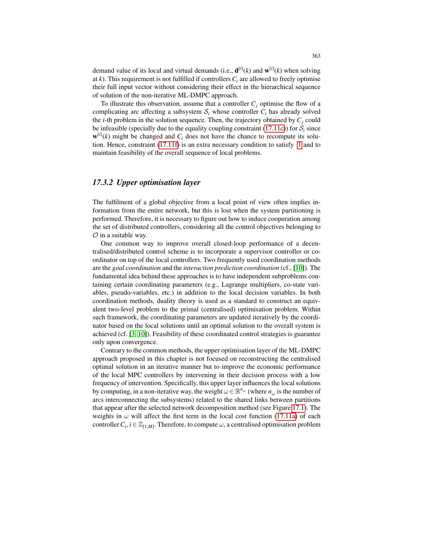demand value of its local and virtual demands (i.e.,  $\mathbf{d}^{[i]}(k)$  and  $\mathbf{w}^{[i]}(k)$  when solving at  $k$ ). This requirement is not fulfilled if controllers  $C_i$  are allowed to freely optimise their full input vector without considering their effect in the hierarchical sequence of solution of the non-iterative ML-DMPC approach.

To illustrate this observation, assume that a controller  $C_j$  optimise the flow of a complicating arc affecting a subsystem  $S_i$  whose controller  $C_i$  has already solved the *i*-th problem in the solution sequence. Then, the trajectory obtained by  $C_i$  could be infeasible (specially due to the equality coupling constraint (17.11c)) for  $S_i$  since  $\mathbf{w}^{[i]}(k)$  might be changed and  $C_i$  does not have the chance to recompute its solution. Hence, constraint (17.11f) is an extra necessary condition to satisfy 1 and to maintain feasibility of the overall sequence of local problems.

## *17.3.2 Upper optimisation layer*

The fulfilment of a global objective from a local point of view often implies information from the entire network, but this is lost when the system partitioning is performed. Therefore, it is necessary to figure out how to induce cooperation among the set of distributed controllers, considering all the control objectives belonging to  $\mathcal O$  in a suitable way.

One common way to improve overall closed-loop performance of a decentralised/distributed control scheme is to incorporate a supervisor controller or coordinator on top of the local controllers. Two frequently used coordination methods are the *goal coordination* and the *interaction prediction coordination* (cf., [10]). The fundamental idea behind these approaches is to have independent subproblems containing certain coordinating parameters (e.g., Lagrange multipliers, co-state variables, pseudo-variables, etc.) in addition to the local decision variables. In both coordination methods, duality theory is used as a standard to construct an equivalent two-level problem to the primal (centralised) optimisation problem. Within such framework, the coordinating parameters are updated iteratively by the coordinator based on the local solutions until an optimal solution to the overall system is achieved (cf. [3, 10]). Feasibility of these coordinated control strategies is guarantee only upon convergence.

Contrary to the common methods, the upper optimisation layer of the ML-DMPC approach proposed in this chapter is not focused on reconstructing the centralised optimal solution in an iterative manner but to improve the economic performance of the local MPC controllers by intervening in their decision process with a low frequency of intervention. Specifically, this upper layer influences the local solutions by computing, in a non-iterative way, the weight  $\omega \in \mathbb{R}^{n_{\omega}}$  (where  $n_{\omega}$  is the number of arcs interconnecting the subsystems) related to the shared links between partitions that appear after the selected network decomposition method (see Figure 17.1). The weights in  $\omega$  will affect the first term in the local cost function (17.11a) of each controller  $C_i$ ,  $i \in \mathbb{Z}_{[1,M]}$ . Therefore, to compute  $\omega$ , a centralised optimisation problem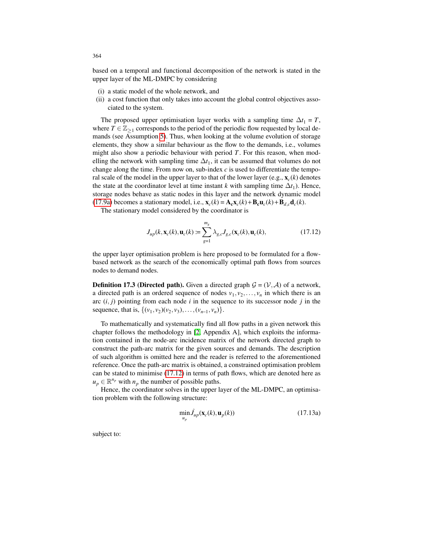based on a temporal and functional decomposition of the network is stated in the upper layer of the ML-DMPC by considering

- (i) a static model of the whole network, and
- (ii) a cost function that only takes into account the global control objectives associated to the system.

The proposed upper optimisation layer works with a sampling time  $\Delta t_1 = T$ , where  $T \in \mathbb{Z}_{\geq 1}$  corresponds to the period of the periodic flow requested by local demands (see Assumption 5). Thus, when looking at the volume evolution of storage elements, they show a similar behaviour as the flow to the demands, i.e., volumes might also show a periodic behaviour with period *T*. For this reason, when modelling the network with sampling time  $\Delta t_1$ , it can be assumed that volumes do not change along the time. From now on, sub-index  $c$  is used to differentiate the temporal scale of the model in the upper layer to that of the lower layer  $(e.g., x_c(k))$  denotes the state at the coordinator level at time instant  $k$  with sampling time  $\Delta t_1$ ). Hence, storage nodes behave as static nodes in this layer and the network dynamic model (17.9a) becomes a stationary model, i.e.,  $\mathbf{x}_c(k) = \mathbf{A}_c \mathbf{x}_c(k) + \mathbf{B}_c \mathbf{u}_c(k) + \mathbf{B}_{d,c} \mathbf{d}_c(k)$ .

The stationary model considered by the coordinator is

$$
J_{up}(k, \mathbf{x}_c(k), \mathbf{u}_c(k) \coloneqq \sum_{g=1}^{m_g} \lambda_{g,c} J_{g,c}(\mathbf{x}_c(k), \mathbf{u}_c(k), \tag{17.12}
$$

the upper layer optimisation problem is here proposed to be formulated for a flowbased network as the search of the economically optimal path flows from sources nodes to demand nodes.

**Definition 17.3 (Directed path).** Given a directed graph  $\mathcal{G} = (\mathcal{V}, \mathcal{A})$  of a network, a directed path is an ordered sequence of nodes  $v_1, v_2, \ldots, v_n$  in which there is an arc  $(i, j)$  pointing from each node  $i$  in the sequence to its successor node  $j$  in the sequence, that is,  $\{(v_1, v_2)(v_2, v_3), \ldots, (v_{n-1}, v_n)\}.$ 

To mathematically and systematically find all flow paths in a given network this chapter follows the methodology in [2, Appendix A], which exploits the information contained in the node-arc incidence matrix of the network directed graph to construct the path-arc matrix for the given sources and demands. The description of such algorithm is omitted here and the reader is referred to the aforementioned reference. Once the path-arc matrix is obtained, a constrained optimisation problem can be stated to minimise (17.12) in terms of path flows, which are denoted here as  $u_p \in \mathbb{R}^{n_p}$  with  $n_p$  the number of possible paths.

Hence, the coordinator solves in the upper layer of the ML-DMPC, an optimisation problem with the following structure:

$$
\min_{u_p} \hat{J}_{up}(\mathbf{x}_c(k), \mathbf{u}_p(k))
$$
\n(17.13a)

subject to: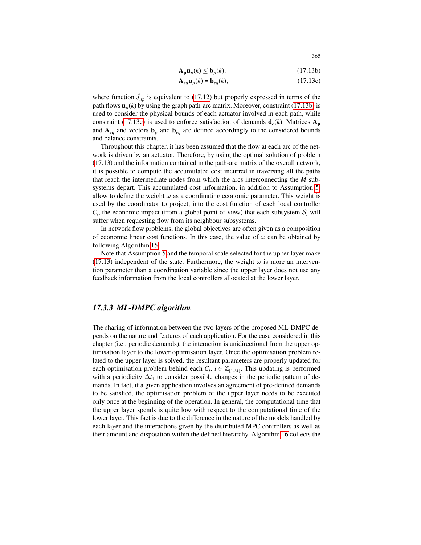$$
\mathbf{A}_{\mathbf{p}}\mathbf{u}_{p}(k) \le \mathbf{b}_{p}(k),\tag{17.13b}
$$

$$
\mathbf{A}_{eq}\mathbf{u}_p(k) = \mathbf{b}_{eq}(k),\tag{17.13c}
$$

where function  $\hat{J}_{up}$  is equivalent to (17.12) but properly expressed in terms of the path flows  $\mathbf{u}_p(k)$  by using the graph path-arc matrix. Moreover, constraint (17.13b) is used to consider the physical bounds of each actuator involved in each path, while constraint (17.13c) is used to enforce satisfaction of demands  $\mathbf{d}_c(k)$ . Matrices  $\mathbf{A}_p$ and  $A_{eq}$  and vectors  $b_p$  and  $b_{eq}$  are defined accordingly to the considered bounds and balance constraints.

Throughout this chapter, it has been assumed that the flow at each arc of the network is driven by an actuator. Therefore, by using the optimal solution of problem (17.13) and the information contained in the path-arc matrix of the overall network, it is possible to compute the accumulated cost incurred in traversing all the paths that reach the intermediate nodes from which the arcs interconnecting the *M* subsystems depart. This accumulated cost information, in addition to Assumption 5, allow to define the weight  $\omega$  as a coordinating economic parameter. This weight is used by the coordinator to project, into the cost function of each local controller  $C_i$ , the economic impact (from a global point of view) that each subsystem  $S_i$  will suffer when requesting flow from its neighbour subsystems.

In network flow problems, the global objectives are often given as a composition of economic linear cost functions. In this case, the value of  $\omega$  can be obtained by following Algorithm 15.

Note that Assumption 5 and the temporal scale selected for the upper layer make (17.13) independent of the state. Furthermore, the weight  $\omega$  is more an intervention parameter than a coordination variable since the upper layer does not use any feedback information from the local controllers allocated at the lower layer.

#### *17.3.3 ML-DMPC algorithm*

The sharing of information between the two layers of the proposed ML-DMPC depends on the nature and features of each application. For the case considered in this chapter (i.e., periodic demands), the interaction is unidirectional from the upper optimisation layer to the lower optimisation layer. Once the optimisation problem related to the upper layer is solved, the resultant parameters are properly updated for each optimisation problem behind each  $C_i$ ,  $i \in \mathbb{Z}_{[1,M]}$ . This updating is performed with a periodicity  $\Delta t_1$  to consider possible changes in the periodic pattern of demands. In fact, if a given application involves an agreement of pre-defined demands to be satisfied, the optimisation problem of the upper layer needs to be executed only once at the beginning of the operation. In general, the computational time that the upper layer spends is quite low with respect to the computational time of the lower layer. This fact is due to the difference in the nature of the models handled by each layer and the interactions given by the distributed MPC controllers as well as their amount and disposition within the defined hierarchy. Algorithm 16 collects the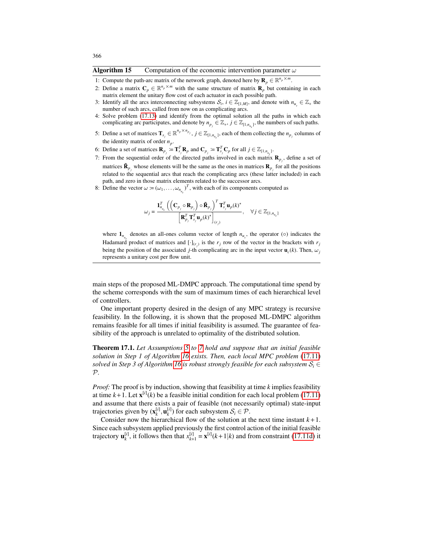#### **Algorithm 15** Computation of the economic intervention parameter  $\omega$

- 1: Compute the path-arc matrix of the network graph, denoted here by  $\mathbf{R}_p \in \mathbb{R}^{n_p \times m}$ .
- 2: Define a matrix  $C_p \in \mathbb{R}^{n_p \times m}$  with the same structure of matrix  $\mathbf{R}_p$  but containing in each matrix element the unitary flow cost of each actuator in each possible path.
- 3: Identify all the arcs interconnecting subsystems  $S_i$ ,  $i \in \mathbb{Z}_{[1,M]}$ , and denote with  $n_{u_s} \in \mathbb{Z}_+$  the number of such arcs, called from now on as complicating arcs.
- 4: Solve problem (17.13) and identify from the optimal solution all the paths in which each complicating arc participates, and denote by  $n_{p_j} \in \mathbb{Z}_+, j \in \mathbb{Z}_{[1,n_{u_s}]}$ , the numbers of such paths.
- 5: Define a set of matrices  $\mathbf{T}_{s_j} \in \mathbb{R}^{n_p \times n_{p_j}}$ ,  $j \in \mathbb{Z}_{\{1,n_{u_s}\}}$ , each of them collecting the  $n_{p_j}$  columns of the identity matrix of order  $n_p$ .
- 6: Define a set of matrices  $\mathbf{R}_{p_j} := \mathbf{T}_{s_j}^T \mathbf{R}_p$  and  $\mathbf{C}_{p_j} := \mathbf{T}_{s_j}^T \mathbf{C}_p$  for all  $j \in \mathbb{Z}_{[1,n_{u_s}]}$ .
- 7: From the sequential order of the directed paths involved in each matrix  $\mathbf{R}_{p_j}$ , define a set of matrices  $\tilde{\mathbf{R}}_{p_j}$  whose elements will be the same as the ones in matrices  $\mathbf{R}_{p_j}$  for all the positions related to the sequential arcs that reach the complicating arcs (these latter included) in each path, and zero in those matrix elements related to the successor arcs.
- 8: Define the vector  $\omega = (\omega_1, \dots, \omega_{n_{u_s}})^T$ , with each of its components computed as

$$
\omega_j = \frac{\mathbf{1}_{n_{u_s}}^T \left( \left( \mathbf{C}_{p_j} \circ \mathbf{R}_{p_j} \right) \circ \tilde{\mathbf{R}}_{p_j} \right)^T \mathbf{T}_{s_j}^T \mathbf{u}_p(k)^*}{\left[ \mathbf{R}_{p_j}^T \mathbf{T}_{s_j}^T \mathbf{u}_p(k)^* \right]_{(r_j)}}, \quad \forall j \in \mathbb{Z}_{[1, n_{u_s}]}
$$

where  $\mathbf{1}_{n_{u_s}}$  denotes an all-ones column vector of length  $n_{u_s}$ , the operator ( $\circ$ ) indicates the Hadamard product of matrices and  $[\cdot]_{(r_i)}$  is the  $r_j$  row of the vector in the brackets with  $r_j$ being the position of the associated *j*-th complicating arc in the input vector  $\mathbf{u}_c(k)$ . Then,  $\omega_j$ represents a unitary cost per flow unit.

main steps of the proposed ML-DMPC approach. The computational time spend by the scheme corresponds with the sum of maximum times of each hierarchical level of controllers.

One important property desired in the design of any MPC strategy is recursive feasibility. In the following, it is shown that the proposed ML-DMPC algorithm remains feasible for all times if initial feasibility is assumed. The guarantee of feasibility of the approach is unrelated to optimality of the distributed solution.

Theorem 17.1. *Let Assumptions 5 to 7 hold and suppose that an initial feasible solution in Step 1 of Algorithm 16 exists. Then, each local MPC problem* (17.11) *solved in Step 3 of Algorithm 16 is robust strongly feasible for each subsystem*  $S_i \in$ P*.*

*Proof:* The proof is by induction, showing that feasibility at time *k* implies feasibility at time  $k+1$ . Let  $\mathbf{x}^{[i]}(k)$  be a feasible initial condition for each local problem (17.11) and assume that there exists a pair of feasible (not necessarily optimal) state-input trajectories given by  $(\mathbf{x}_k^{[i]}, \mathbf{u}_k^{[i]})$  for each subsystem  $\mathcal{S}_i \in \mathcal{P}$ .

Consider now the hierarchical flow of the solution at the next time instant  $k+1$ . Since each subsystem applied previously the first control action of the initial feasible trajectory  $\mathbf{u}_k^{[i]}$ , it follows then that  $x_{k+1}^{[i]} = \mathbf{x}^{[i]}(k+1|k)$  and from constraint (17.11d) it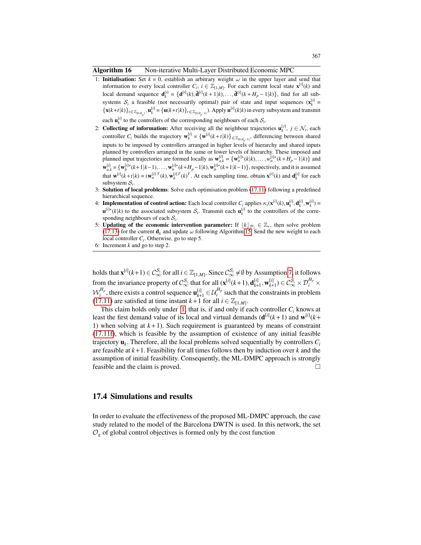Algorithm 16 Non-iterative Multi-Layer Distributed Economic MPC

- 1: **Initialisation:** Set  $k = 0$ , establish an arbitrary weight  $\omega$  in the upper layer and send that information to every local controller  $C_i$ ,  $i \in \mathbb{Z}_{[1,M]}$ . For each current local state  $\mathbf{x}^{[i]}(k)$  and local demand sequence  $\mathbf{d}_k^{[i]} = {\mathbf{d}^{[i]}(k), \mathbf{\bar{d}}^{[i]}(k+1|k), ..., \mathbf{\bar{d}}^{[i]}(k+H_p-1|k)},$  find for all subsystems  $S_i$  a feasible (not necessarily optimal) pair of state and input sequences  $(\mathbf{x}_k^{[i]} = \mathbf{A} \cdot \mathbf{x}_k^{[i]}$  $\{\mathbf{x}(k+t|k)\}_{t \in \mathbb{Z}_{[0,H_p]}, \mathbf{u}_k^{[i]} = \{\mathbf{u}(k+t|k)\}_{t \in \mathbb{Z}_{[0,H_{p}-1]}}, \mathbf{Apply } \mathbf{u}^{[i]}(k|k) \text{ in every subsystem and transmit }$ each  $\mathbf{u}_k^{[i]}$  to the controllers of the corresponding neighbours of each  $S_i$ .
- 2: **Collecting of information:** After receiving all the neighbour trajectories  $\mathbf{u}_k^{[j]}$ ,  $j \in \mathcal{N}_i$ , each controller *C<sub>i</sub>* builds the trajectory  $\mathbf{w}_k^{[i]} = {\mathbf{w}^{[i]}(k+t|k)} \in \mathbb{Z}_{[0,H_{p^{-1}]}}$ , differencing between shared inputs to be imposed by controllers arranged in higher levels of hierarchy and shared inputs planned by controllers arranged in the same or lower levels of hierarchy. These imposed and planned input trajectories are formed locally as  $\mathbf{w}_{a,k}^{[i]} = {\mathbf{w}_a^{[i] \star (k|k), \ldots, w_a^{[i] \star (k+H_p-1|k)}}$  and  $\mathbf{w}_{a,k}^{[i]} = {\mathbf{w}_b^{[i]\star}(k+1|k-1), \ldots, \mathbf{w}_b^{[i]\star}(k+H_p-1|k)}, \mathbf{w}_b^{[i]\star}(k+1|k-1)}$ , respectively, and it is assumed that  $\mathbf{w}^{[i]}(k+t|k) = (\mathbf{w}_a^{[i]}{}^T(k), \mathbf{w}_b^{[i]}{}^T(k)^T)$ . At each sampling time, obtain  $\mathbf{x}^{[i]}(k)$  and  $\mathbf{d}_k^{[i]}$  for each subsystem  $S_i$ .
- 3: Solution of local problems: Solve each optimisation problem (17.11) following a predefined hierarchical sequence.
- 4: **Implementation of control action:** Each local controller  $C_i$  applies  $\kappa_i(\mathbf{x}^{[i]}(k), \mathbf{u}^{[i]}_k, \mathbf{d}^{[i]}_k, \mathbf{w}^{[i]}_k) =$  $\mathbf{u}^{[i] \star}(k|k)$  to the associated subsystem  $\mathcal{S}_i$ . Transmit each  $\mathbf{u}^{[i]}_k$  to the controllers of the corresponding neighbours of each  $S_i$ .
- 5: **Updating of the economic intervention parameter:** If  $\lfloor k \rfloor_{\mathcal{P}_1} \in \mathbb{Z}_+$ , then solve problem (17.13) for the current  $\mathbf{d}_k$  and update  $\omega$  following Algorithm 15. Send the new weight to each local controller  $C_i$ . Otherwise, go to step 5.
- 6: Increment *k* and go to step 2.

holds that  $\mathbf{x}^{[i]}(k+1) \in C_{\infty}^{S_i}$  for all  $i \in \mathbb{Z}_{[1,M]}$ . Since  $C_{\infty}^{S_i} \neq \emptyset$  by Assumption 7, it follows from the invariance property of  $\mathcal{C}_{\infty}^{\mathcal{S}_i}$  that for all  $(\mathbf{x}^{[i]}(k+1), \mathbf{d}_{k+1}^{[i]}, \mathbf{w}_{k+1}^{[i]}) \in \mathcal{C}_{\infty}^{\mathcal{S}_i} \times \mathcal{D}_i^{H_p} \times$  $\mathcal{W}_i^{H_p}$ , there exists a control sequence  $\mathbf{u}_{k+1}^{[i]} \in \mathcal{U}_i^{H_p}$  such that the constraints in problem (17.11) are satisfied at time instant  $k+1$  for all  $i \in \mathbb{Z}_{[1,M]}$ .

This claim holds only under 1, that is, if and only if each controller  $C_i$  knows at least the first demand value of its local and virtual demands  $(d^{[i]}(k+1))$  and  $w^{[i]}(k+1)$ 1) when solving at  $k+1$ ). Such requirement is guaranteed by means of constraint (17.11f), which is feasible by the assumption of existence of any initial feasible trajectory u*<sup>k</sup>* . Therefore, all the local problems solved sequentially by controllers *C<sup>i</sup>* are feasible at *k*+1. Feasibility for all times follows then by induction over *k* and the assumption of initial feasibility. Consequently, the ML-DMPC approach is strongly feasible and the claim is proved.

### 17.4 Simulations and results

In order to evaluate the effectiveness of the proposed ML-DMPC approach, the case study related to the model of the Barcelona DWTN is used. In this network, the set  $\mathcal{O}_g$  of global control objectives is formed only by the cost function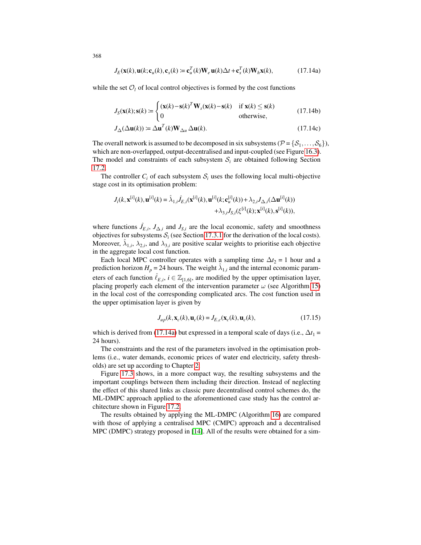$$
J_E(\mathbf{x}(k), \mathbf{u}(k; \mathbf{c}_u(k), \mathbf{c}_x(k)) = \mathbf{c}_u^T(k) \mathbf{W}_e \mathbf{u}(k) \Delta t + \mathbf{c}_x^T(k) \mathbf{W}_h \mathbf{x}(k),
$$
 (17.14a)

while the set  $O_l$  of local control objectives is formed by the cost functions

$$
J_S(\mathbf{x}(k); \mathbf{s}(k)) = \begin{cases} (\mathbf{x}(k) - \mathbf{s}(k)^T \mathbf{W}_s(\mathbf{x}(k) - \mathbf{s}(k)) & \text{if } \mathbf{x}(k) \le \mathbf{s}(k) \\ 0 & \text{otherwise,} \end{cases}
$$
(17.14b)

$$
J_{\Delta}(\Delta \mathbf{u}(k)) \coloneqq \Delta \mathbf{u}^{T}(k) \mathbf{W}_{\Delta u} \Delta \mathbf{u}(k). \tag{17.14c}
$$

The overall network is assumed to be decomposed in six subsystems ( $\mathcal{P} = \{S_1, \ldots, S_6\}$ ), which are non-overlapped, output-decentralised and input-coupled (see Figure 16.3). The model and constraints of each subsystem  $S_i$  are obtained following Section 17.2.

The controller  $C_i$  of each subsystem  $S_i$  uses the following local multi-objective stage cost in its optimisation problem:

$$
J_i(k, \mathbf{x}^{[i]}(k), \mathbf{u}^{[i]}(k) = \hat{\lambda}_{1,i} \hat{J}_{E,i}(\mathbf{x}^{[i]}(k), \mathbf{u}^{[i]}(k; \mathbf{c}_u^{[i]}(k)) + \lambda_{2,i} J_{\Delta,i}(\Delta \mathbf{u}^{[i]}(k)) + \lambda_{3,i} J_{S,i}(\xi^{[i]}(k); \mathbf{x}^{[i]}(k), \mathbf{s}^{[i]}(k)),
$$

where functions  $\hat{J}_{E,i}$ ,  $J_{\Delta,i}$  and  $J_{S,i}$  are the local economic, safety and smoothness objectives for subsystems  $S_i$  (see Section 17.3.1 for the derivation of the local costs). Moreover,  $\hat{\lambda}_{1,i}$ ,  $\lambda_{2,i}$ , and  $\lambda_{3,i}$  are positive scalar weights to prioritise each objective in the aggregate local cost function.

Each local MPC controller operates with a sampling time  $\Delta t_2 = 1$  hour and a prediction horizon  $H_p = 24$  hours. The weight  $\hat{\lambda}_{1,i}$  and the internal economic parameters of each function  $\hat{\ell}_{E,i}$ ,  $i \in \mathbb{Z}_{[1,6]}$ , are modified by the upper optimisation layer, placing properly each element of the intervention parameter  $\omega$  (see Algorithm 15) in the local cost of the corresponding complicated arcs. The cost function used in the upper optimisation layer is given by

$$
J_{up}(k, \mathbf{x}_c(k), \mathbf{u}_c(k)) = J_{E,c}(\mathbf{x}_c(k), \mathbf{u}_c(k)),
$$
\n(17.15)

which is derived from (17.14a) but expressed in a temporal scale of days (i.e.,  $\Delta t_1$  = 24 hours).

The constraints and the rest of the parameters involved in the optimisation problems (i.e., water demands, economic prices of water end electricity, safety thresholds) are set up according to Chapter 2.

Figure 17.3 shows, in a more compact way, the resulting subsystems and the important couplings between them including their direction. Instead of neglecting the effect of this shared links as classic pure decentralised control schemes do, the ML-DMPC approach applied to the aforementioned case study has the control architecture shown in Figure 17.2.

The results obtained by applying the ML-DMPC (Algorithm 16) are compared with those of applying a centralised MPC (CMPC) approach and a decentralised MPC (DMPC) strategy proposed in [14]. All of the results were obtained for a sim-

368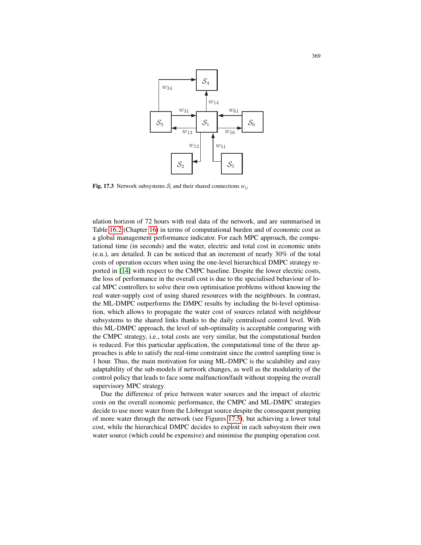

Fig. 17.3 Network subsystems  $S_i$  and their shared connections  $w_{ij}$ 

tion, which allows to propagate the water cost of sources related with neighbour ulation horizon of 72 hours with real data of the network, and are summarised in Table 16.2 (Chapter 16) in terms of computational burden and of economic cost as a global management performance indicator. For each MPC approach, the computational time (in seconds) and the water, electric and total cost in economic units (e.u.), are detailed. It can be noticed that an increment of nearly 30% of the total costs of operation occurs when using the one-level hierarchical DMPC strategy reported in [14] with respect to the CMPC baseline. Despite the lower electric costs, the loss of performance in the overall cost is due to the specialised behaviour of local MPC controllers to solve their own optimisation problems without knowing the real water-supply cost of using shared resources with the neighbours. In contrast, the ML-DMPC outperforms the DMPC results by including the bi-level optimisasubsystems to the shared links thanks to the daily centralised control level. With this ML-DMPC approach, the level of sub-optimality is acceptable comparing with the CMPC strategy, i.e., total costs are very similar, but the computational burden is reduced. For this particular application, the computational time of the three approaches is able to satisfy the real-time constraint since the control sampling time is 1 hour. Thus, the main motivation for using ML-DMPC is the scalability and easy adaptability of the sub-models if network changes, as well as the modularity of the control policy that leads to face some malfunction/fault without stopping the overall supervisory MPC strategy.

Due the difference of price between water sources and the impact of electric costs on the overall economic performance, the CMPC and ML-DMPC strategies decide to use more water from the Llobregat source despite the consequent pumping of more water through the network (see Figures 17.5), but achieving a lower total cost, while the hierarchical DMPC decides to exploit in each subsystem their own water source (which could be expensive) and minimise the pumping operation cost.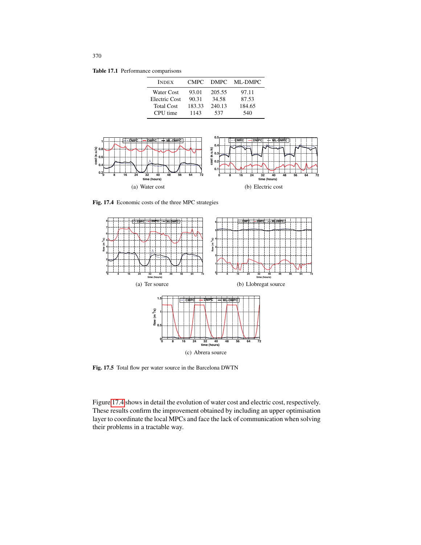Table 17.1 Performance comparisons

| <b>INDEX</b>                       | CMPC <sup>1</sup> | <b>DMPC</b>     | ML-DMPC         |
|------------------------------------|-------------------|-----------------|-----------------|
| Water Cost                         | 93.01             | 205.55          | 97.11           |
| Electric Cost<br><b>Total Cost</b> | 90.31<br>183.33   | 34.58<br>240.13 | 87.53<br>184.65 |
| CPU time                           | 1143              | 537             | 540             |



Fig. 17.4 Economic costs of the three MPC strategies



Fig. 17.5 Total flow per water source in the Barcelona DWTN

Figure 17.4 shows in detail the evolution of water cost and electric cost, respectively. These results confirm the improvement obtained by including an upper optimisation layer to coordinate the local MPCs and face the lack of communication when solving their problems in a tractable way.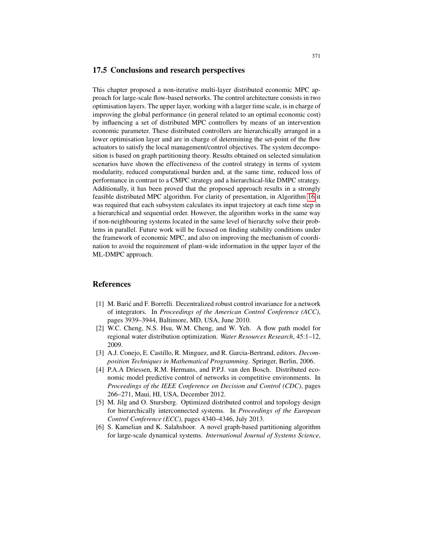#### 17.5 Conclusions and research perspectives

This chapter proposed a non-iterative multi-layer distributed economic MPC approach for large-scale flow-based networks. The control architecture consists in two optimisation layers. The upper layer, working with a larger time scale, is in charge of improving the global performance (in general related to an optimal economic cost) by influencing a set of distributed MPC controllers by means of an intervention economic parameter. These distributed controllers are hierarchically arranged in a lower optimisation layer and are in charge of determining the set-point of the flow actuators to satisfy the local management/control objectives. The system decomposition is based on graph partitioning theory. Results obtained on selected simulation scenarios have shown the effectiveness of the control strategy in terms of system modularity, reduced computational burden and, at the same time, reduced loss of performance in contrast to a CMPC strategy and a hierarchical-like DMPC strategy. Additionally, it has been proved that the proposed approach results in a strongly feasible distributed MPC algorithm. For clarity of presentation, in Algorithm 16 it was required that each subsystem calculates its input trajectory at each time step in a hierarchical and sequential order. However, the algorithm works in the same way if non-neighbouring systems located in the same level of hierarchy solve their problems in parallel. Future work will be focused on finding stability conditions under the framework of economic MPC, and also on improving the mechanism of coordination to avoid the requirement of plant-wide information in the upper layer of the ML-DMPC approach.

#### References

- [1] M. Baric and F. Borrelli. Decentralized robust control invariance for a network ´ of integrators. In *Proceedings of the American Control Conference (ACC)*, pages 3939–3944, Baltimore, MD, USA, June 2010.
- [2] W.C. Cheng, N.S. Hsu, W.M. Cheng, and W. Yeh. A flow path model for regional water distribution optimization. *Water Resources Research*, 45:1–12, 2009.
- [3] A.J. Conejo, E. Castillo, R. Minguez, and R. Garcia-Bertrand, editors. *Decomposition Techniques in Mathematical Programming*. Springer, Berlin, 2006.
- [4] P.A.A Driessen, R.M. Hermans, and P.P.J. van den Bosch. Distributed economic model predictive control of networks in competitive environments. In *Proceedings of the IEEE Conference on Decision and Control (CDC)*, pages 266–271, Maui, HI, USA, December 2012.
- [5] M. Jilg and O. Stursberg. Optimized distributed control and topology design for hierarchically interconnected systems. In *Proceedings of the European Control Conference (ECC)*, pages 4340–4346, July 2013.
- [6] S. Kamelian and K. Salahshoor. A novel graph-based partitioning algorithm for large-scale dynamical systems. *International Journal of Systems Science*,